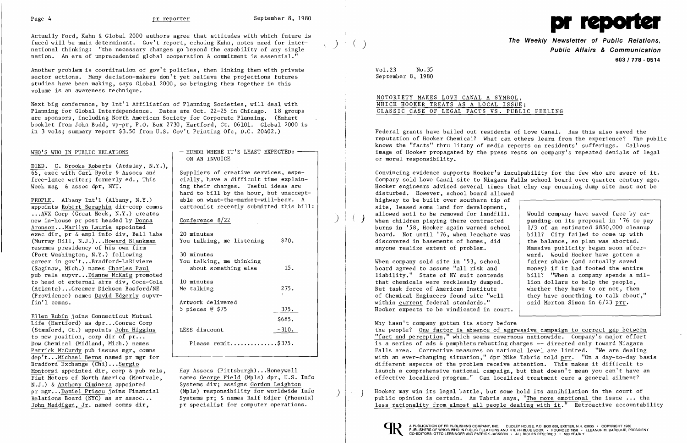$\Bigg\}$ 



Actually Ford, Kahn & Global 2000 authors agree that attitudes with which future is faced will be main determinant. Gov't report, echoing Kahn, notes need for international thinking: "the necessary changes go beyond the capability of any single nation. An era of unprecedented global cooperation & commitment is essential."

Another problem is coordination of gov't policies, then linking them with private sector actions. Many decision-makers don't yet believe the projections futures studies have been making, says Global 2000, so bringing them together in this volume is an awareness technique.

Next big conference, by Int'l Affiliation of Planning Societies, will deal with Planning for Global Interdependence. Dates are Oct. 22-25 in Chicago. 18 groups are sponsors, including North American Society for Corporate Planning. (Emhart booklet from John Budd, vp-pr, P.O. Box 2730, Hartford, Ct. 06101. Global 2000 is in 3 vols; summary report \$3.50 from U.S. Gov't Printing Ofc, D.C. 20402.)

Ellen Rubin joins Connecticut Mutual Life (Hartford) as dpr...Conrac Corp (Stamford, Ct.) appoints John Higgins to new position, corp dir of  $\overline{pr...}$ Dow Chemical (Midland, Mich.) names Patrick McCurdy pub issues mgr, comns dep't...Michael Berns named pr mgr for Bradford Exchange (Chi)...Sergio Montorsi appointed dir, corp  $\&$  pub rels, Fiat Motors of North America (Montvale, N.J.) & <u>Anthony Ciminera</u> appointed<br>pr mgr...Daniel Priscu joins Financial

WHO'S WHO IN PUBLIC RELATIONS

DIED. C. Brooks Roberts (Ardsley, N.Y.), 66, exec with Carl Byoir & Assocs and free-lance writer; formerly ed., This Week mag & assoc dpr, NYU.

Suppliers of creative services, especially, have a difficult time explain ing their charges. Useful ideas are hard to bill by the hour, but unaccept able on what-the-market-will-bear. A cartoonist recently submitted this bill:

Hay Assocs (Pittsburgh) ...Honeywell names George Field (Mpls) dpr, U.S. Info Systems div; assigns <u>Gordon Leighton</u><br>(Mpls) responsibility for worldwide Info

PEOPLE. Albany Int'l (Albany, N.Y.) appoints Robert Seraphin dir-corp comus •.. AVX Corp (Great Neck, N.Y.) creates new in-house pr post headed by Donna Aronson...Marilyn Laurie appointed exec dir,  $pr \& emp1$  info div, Bell Labs (Murray Hill, N.J.) ...Howard Blankman resumes presidency of his own firm (Port Washington, N.Y.) following career in gov't ...Bradford-LaRiviere (Saginaw, Mich.) names Charles Paul pub rels supvr...Dianne McKaig promoted to head of external afrs div, Coca-Cola (Atlanta) ...Creamer Dickson Basford/NE (Providence) names David Edgerly supvrfin'l comns.

Convincing evidence supports Hooker's inculpability for the few who are aware of it. Company sold Love Canal site to Niagara Falls school board over quarter century ago. Hooker engineers advised several times that clay cap encasing dump site must not be disturbed. However, school board allowed highway to be built over southern tip of site, leased some land for development, allowed soil to be removed for landfill. Would company have saved face by  $ex$ -<br>panding on its proposal in '76 to pay  $\langle$  ) allowed soil to be removed for landfill.  $\qquad$  Would company have saved face by ex-<br>When children playing there contracted  $\qquad$  panding on its proposal in '76 to pay burns in '58, Hooker again warned school 1/3 of an estimated \$850,000 cleanup<br>bill? City failed to come up with board. Not until '76, when leachate was  $\begin{array}{|l|l|}$  bill? City failed to come up with discovered in basements of homes, did the balance, so plan was aborted. discovered in basements of homes, did<br>anyone realize extent of problem. Massive publicity began soon afterward. Would Hooker have gotten a<br>fairer shake (and actually saved When company sold site in '53, school fairer shake (and actually saved board agreed to assume "all risk and  $\overline{a}$  money) if it had footed the entire board agreed to assume "all risk and a money) if it had footed the entire<br>liability." State of NY suit contends bill? "When a company spends a milliability." State of NY suit contends  $\begin{array}{|l|} \hline \text{bil} ? & \text{When a company spends a n} \\ \text{that chemicals were recklesslv dumped.} & \text{lion dollars to help the people.} \end{array}$ that chemicals were recklessly dumped.  $\begin{array}{|l|} \hline \end{array}$  lion dollars to help the people,<br>But task force of American Institute  $\begin{array}{c|c} \hline \end{array}$  whether they have to or not, then But task force of American Institute<br>of Chemical Engineers found site "well they have something to talk about,"<br>said Morton Simon in  $6/23$  prr. within current federal standards."

HUMOR WHERE IT'S LEAST EXPECTED: ON AN INVOICE

## Conference 8/22

| 20 minutes<br>You talking, me listening                        | \$20.          |
|----------------------------------------------------------------|----------------|
| 30 minutes<br>You talking, me thinking<br>about something else | 15.            |
| 10 minutes<br>Me talking                                       | 275.<br>K.     |
| Artwork delivered<br>5 pieces $@$ \$75                         | 375.<br>\$685. |
| LESS discount                                                  | -310.          |
| Please remit\$375.                                             |                |

)

)

**The Weekly Newsletter of Public Relations,** ( ) **Public Affairs & Communication 603/778 - 0514** 

Vol.23 No.35 September 8, 1980

# NOTORIETY MAKES LOVE CANAL A SYMBOL, WHICH HOOKER TREATS AS A LOCAL ISSUE: CLASSIC CASE OF LEGAL FACTS VS. PUBLIC FEELING

Federal grants have bailed out residents of Love Canal. Has this also saved the reputation of Hooker Chemical? What can others learn from the experience? The public knows the "facts" thru litany of media reports on residents' sufferings. Callous image of Hooker propagated by the press rests on company's repeated denials of legal or moral responsibility.

Hooker expects to be vindicated in court.

Why hasn't company gotten its story before the people? One factor is absence of aggressive campaign to correct gap between "fact and perception," which seems cavernous nationwide. Company's major effort is a series of ads  $\&$  pamphlets rebutting charges  $--$  directed only toward Niagara Falls area. Corrective measures on national level are limited. "We are dealing with an ever-changing situation," dpr Mike Tabris told prr. "On a day-to-day basis different aspects of the problem receive attention. This makes it difficult to launch a comprehensive national campaign, but that doesn't mean you can't have an effective localized program." Can localized treatment cure a general ailment?

pr mgr...<u>Daniel Priscu</u> joins Financial (Mpls) responsibility for worldwide Info<br>Relations Board (NYC) as sr assoc... Systems pr; & names <u>Ralf Edler</u> (Phoenix) (public opinion is certain. As Tabris says, "<u>The more emoti</u> less rationality from almost all people dealing with it." Retroactive accountability